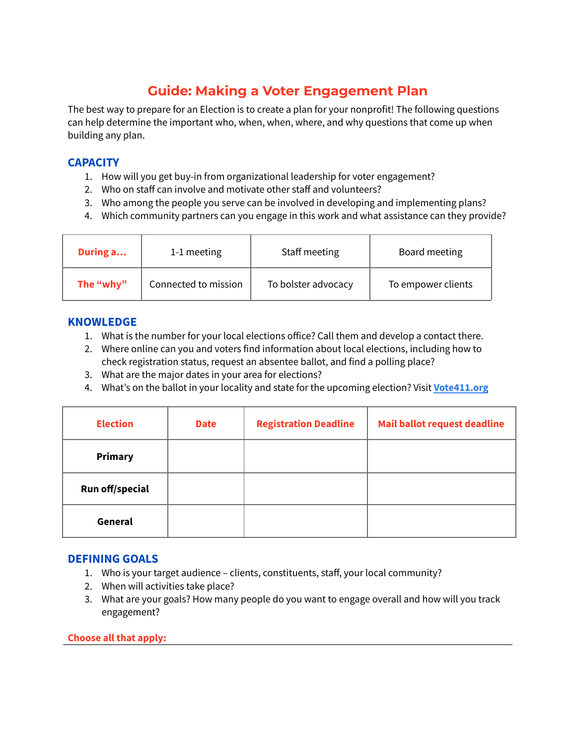# **Guide: Making a Voter Engagement Plan**

The best way to prepare for an Election is to create a plan for your nonprofit! The following questions can help determine the important who, when, when, where, and why questions that come up when building any plan.

## **CAPACITY**

- 1. How will you get buy-in from organizational leadership for voter engagement?
- 2. Who on staff can involve and motivate other staff and volunteers?
- 3. Who among the people you serve can be involved in developing and implementing plans?
- 4. Which community partners can you engage in this work and what assistance can they provide?

| During a  | 1-1 meeting          | Staff meeting       | Board meeting      |
|-----------|----------------------|---------------------|--------------------|
| The "why" | Connected to mission | To bolster advocacy | To empower clients |

## **KNOWLEDGE**

- 1. What is the number for your local elections office? Call them and develop a contact there.
- 2. Where online can you and voters find information about local elections, including how to check registration status, request an absentee ballot, and find a polling place?
- 3. What are the major dates in your area for elections?
- 4. What's on the ballot in your locality and state for the upcoming election? Visit **[Vote411.org](https://www.vote411.org/)**

| <b>Election</b> | <b>Date</b> | <b>Registration Deadline</b> | <b>Mail ballot request deadline</b> |
|-----------------|-------------|------------------------------|-------------------------------------|
| <b>Primary</b>  |             |                              |                                     |
| Run off/special |             |                              |                                     |
| General         |             |                              |                                     |

## **DEFINING GOALS**

- 1. Who is your target audience clients, constituents, staff, your local community?
- 2. When will activities take place?
- 3. What are your goals? How many people do you want to engage overall and how will you track engagement?

#### **Choose all that apply:**